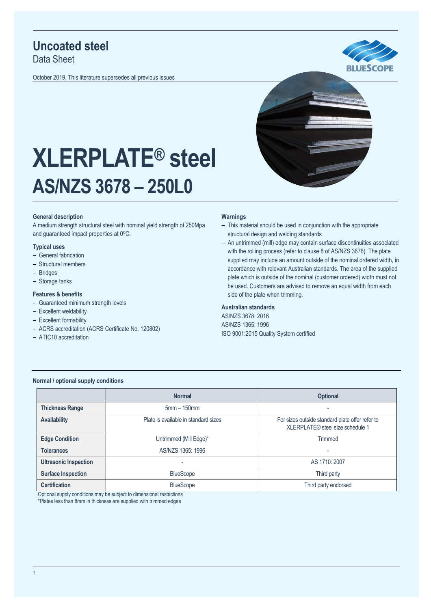## **Uncoated steel**

Data Sheet

October 2019. This literature supersedes all previous issues





# **XLERPLATE® steel AS/NZS 3678 – 250L0**

#### **General description**

A medium strength structural steel with nominal yield strength of 250Mpa and guaranteed impact properties at 0°C.

#### **Typical uses**

- General fabrication
- ‒ Structural members
- ‒ Bridges
- Storage tanks

#### **Features & benefits**

- Guaranteed minimum strength levels
- Excellent weldability
- Excellent formability
- ‒ ACRS accreditation (ACRS Certificate No. 120802)
- ATIC10 accreditation

#### **Warnings**

- This material should be used in conjunction with the appropriate structural design and welding standards
- An untrimmed (mill) edge may contain surface discontinuities associated with the rolling process (refer to clause 8 of AS/NZS 3678). The plate supplied may include an amount outside of the nominal ordered width, in accordance with relevant Australian standards. The area of the supplied plate which is outside of the nominal (customer ordered) width must not be used. Customers are advised to remove an equal width from each side of the plate when trimming.

#### **Australian standards**

AS/NZS 3678: 2016 AS/NZS 1365: 1996 ISO 9001:2015 Quality System certified

#### **Normal / optional supply conditions**

|                              | <b>Normal</b>                        | <b>Optional</b>                                                                     |  |  |
|------------------------------|--------------------------------------|-------------------------------------------------------------------------------------|--|--|
| <b>Thickness Range</b>       | $5mm - 150mm$                        | $\overline{\phantom{0}}$                                                            |  |  |
| <b>Availability</b>          | Plate is available in standard sizes | For sizes outside standard plate offer refer to<br>XLERPLATE® steel size schedule 1 |  |  |
| <b>Edge Condition</b>        | Untrimmed (Mill Edge)*               | Trimmed                                                                             |  |  |
| <b>Tolerances</b>            | AS/NZS 1365: 1996                    | $\overline{\phantom{0}}$                                                            |  |  |
| <b>Ultrasonic Inspection</b> | -                                    | AS 1710: 2007                                                                       |  |  |
| <b>Surface Inspection</b>    | <b>BlueScope</b>                     | Third party                                                                         |  |  |
| <b>Certification</b>         | <b>BlueScope</b>                     | Third party endorsed                                                                |  |  |

Optional supply conditions may be subject to dimensional restrictions

\*Plates less than 8mm in thickness are supplied with trimmed edges